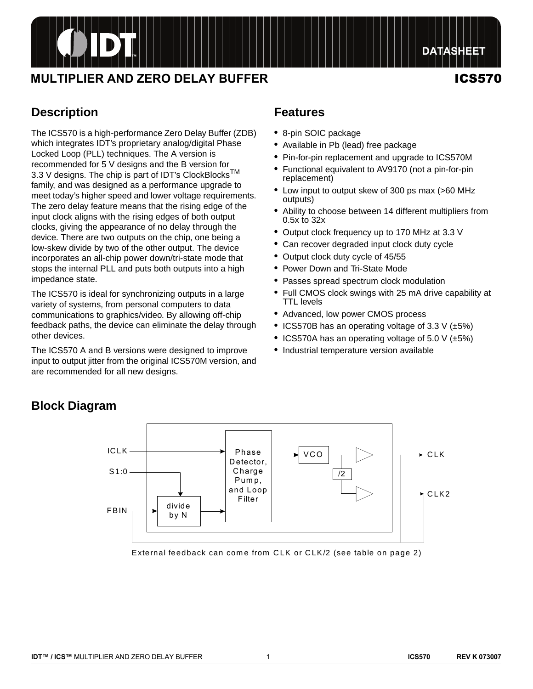# ODT

## **MULTIPLIER AND ZERO DELAY BUFFER ICS570**

## **DATASHEET**

## **Description**

**Block Diagram**

The ICS570 is a high-performance Zero Delay Buffer (ZDB) which integrates IDT's proprietary analog/digital Phase Locked Loop (PLL) techniques. The A version is recommended for 5 V designs and the B version for 3.3 V designs. The chip is part of IDT's ClockBlocks<sup>TM</sup> family, and was designed as a performance upgrade to meet today's higher speed and lower voltage requirements. The zero delay feature means that the rising edge of the input clock aligns with the rising edges of both output clocks, giving the appearance of no delay through the device. There are two outputs on the chip, one being a low-skew divide by two of the other output. The device incorporates an all-chip power down/tri-state mode that stops the internal PLL and puts both outputs into a high impedance state.

The ICS570 is ideal for synchronizing outputs in a large variety of systems, from personal computers to data communications to graphics/video. By allowing off-chip feedback paths, the device can eliminate the delay through other devices.

The ICS570 A and B versions were designed to improve input to output jitter from the original ICS570M version, and are recommended for all new designs.

## **Features**

- **•** 8-pin SOIC package
- **•** Available in Pb (lead) free package
- **•** Pin-for-pin replacement and upgrade to ICS570M
- **•** Functional equivalent to AV9170 (not a pin-for-pin replacement)
- **•** Low input to output skew of 300 ps max (>60 MHz outputs)
- **•** Ability to choose between 14 different multipliers from 0.5x to 32x
- **•** Output clock frequency up to 170 MHz at 3.3 V
- **•** Can recover degraded input clock duty cycle
- **•** Output clock duty cycle of 45/55
- **•** Power Down and Tri-State Mode
- **•** Passes spread spectrum clock modulation
- **•** Full CMOS clock swings with 25 mA drive capability at TTL levels
- **•** Advanced, low power CMOS process
- **•** ICS570B has an operating voltage of 3.3 V (±5%)
- **•** ICS570A has an operating voltage of 5.0 V (±5%)
- **•** Industrial temperature version available



#### External feedback can come from CLK or CLK/2 (see table on page 2)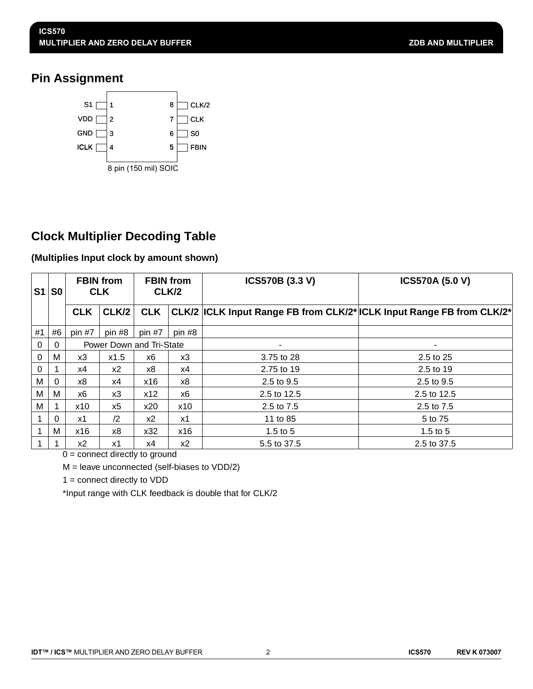## **Pin Assignment**



## **Clock Multiplier Decoding Table**

### **(Multiplies Input clock by amount shown)**

| S1       | S <sub>0</sub> | <b>FBIN</b> from<br><b>CLK</b> |               | <b>FBIN</b> from<br>CLK/2 |       | <b>ICS570B (3.3 V)</b>                                                 | <b>ICS570A (5.0 V)</b> |  |  |
|----------|----------------|--------------------------------|---------------|---------------------------|-------|------------------------------------------------------------------------|------------------------|--|--|
|          |                | <b>CLK</b>                     | CLK/2         | <b>CLK</b>                |       | CLK/2  ICLK Input Range FB from CLK/2* ICLK Input Range FB from CLK/2* |                        |  |  |
| #1       | #6             | pin #7                         | pin #8        | pin #8<br>pin $#7$        |       |                                                                        |                        |  |  |
| $\Omega$ | $\Omega$       |                                |               | Power Down and Tri-State  |       |                                                                        | ٠                      |  |  |
| $\Omega$ | M              | x3                             | x1.5          | x6                        | x3    | 3.75 to 28                                                             | 2.5 to 25              |  |  |
| $\Omega$ |                | х4                             | x2            | x8                        | x4    | 2.75 to 19                                                             | 2.5 to 19              |  |  |
| M        | 0              | x8                             | x4            | x16                       | x8    | 2.5 to 9.5                                                             | 2.5 to 9.5             |  |  |
| M        | M              | x6                             | x3            | x12                       | x6    | 2.5 to 12.5                                                            | 2.5 to 12.5            |  |  |
| M        |                | x10                            | x5            | x20                       | x10   | 2.5 to 7.5                                                             | 2.5 to 7.5             |  |  |
|          | $\Omega$       | x1                             | $\mathbf{12}$ | x2                        | x1    | 11 to 85                                                               | 5 to 75                |  |  |
|          | м              | x16                            | x8            | x32                       | x16   | 1.5 to $5$                                                             | 1.5 to $5$             |  |  |
|          |                | $x^2$                          | x1            | х4                        | $x^2$ | 5.5 to 37.5                                                            | 2.5 to 37.5            |  |  |

0 = connect directly to ground

M = leave unconnected (self-biases to VDD/2)

 $1 =$  connect directly to  $VDD$ 

\*Input range with CLK feedback is double that for CLK/2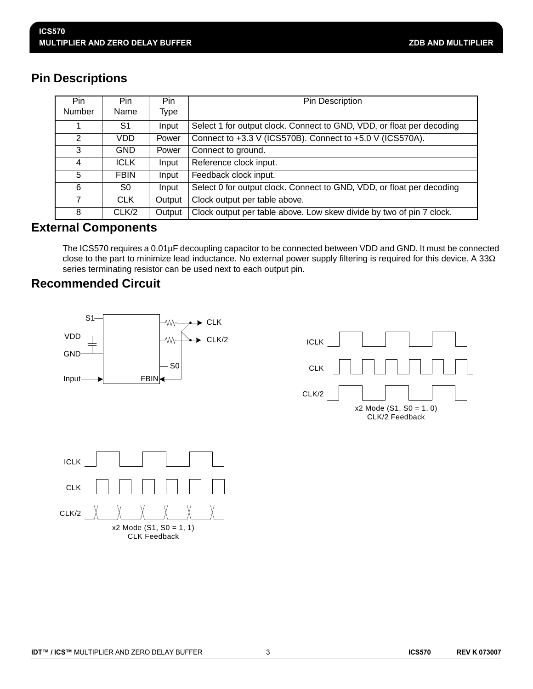## **Pin Descriptions**

| Pin.          | Pin.        | Pin    | Pin Description                                                       |
|---------------|-------------|--------|-----------------------------------------------------------------------|
| <b>Number</b> | Name        | Type   |                                                                       |
|               | S1          | Input  | Select 1 for output clock. Connect to GND, VDD, or float per decoding |
| 2             | VDD.        | Power  | Connect to +3.3 V (ICS570B). Connect to +5.0 V (ICS570A).             |
| 3             | <b>GND</b>  | Power  | Connect to ground.                                                    |
| 4             | <b>ICLK</b> | Input  | Reference clock input.                                                |
| 5             | <b>FBIN</b> | Input  | Feedback clock input.                                                 |
| 6             | S0          | Input  | Select 0 for output clock. Connect to GND, VDD, or float per decoding |
|               | <b>CLK</b>  | Output | Clock output per table above.                                         |
| 8             | CLK/2       | Output | Clock output per table above. Low skew divide by two of pin 7 clock.  |

## **External Components**

The ICS570 requires a 0.01µF decoupling capacitor to be connected between VDD and GND. It must be connected close to the part to minimize lead inductance. No external power supply filtering is required for this device. A 33Ω series terminating resistor can be used next to each output pin.

## **Recommended Circuit**





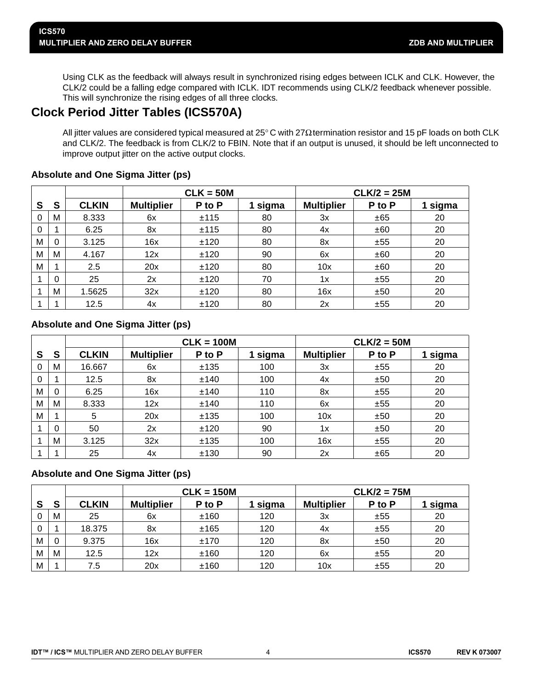Using CLK as the feedback will always result in synchronized rising edges between ICLK and CLK. However, the CLK/2 could be a falling edge compared with ICLK. IDT recommends using CLK/2 feedback whenever possible. This will synchronize the rising edges of all three clocks.

## **Clock Period Jitter Tables (ICS570A)**

All jitter values are considered typical measured at 25° C with 27Ω termination resistor and 15 pF loads on both CLK and CLK/2. The feedback is from CLK/2 to FBIN. Note that if an output is unused, it should be left unconnected to improve output jitter on the active output clocks.

|   |   |              | $CLK/2 = 25M$<br>$CLK = 50M$ |        |       |                   |        |         |
|---|---|--------------|------------------------------|--------|-------|-------------------|--------|---------|
| S | S | <b>CLKIN</b> | <b>Multiplier</b>            | P to P | sigma | <b>Multiplier</b> | P to P | 1 sigma |
| 0 | M | 8.333        | 6x                           | ±115   | 80    | 3x                | ±65    | 20      |
| 0 |   | 6.25         | 8x                           | ±115   | 80    | 4x                | ±60    | 20      |
| M | 0 | 3.125        | 16x                          | ±120   | 80    | 8x                | ±55    | 20      |
| M | M | 4.167        | 12x                          | ±120   | 90    | 6x                | ±60    | 20      |
| M |   | 2.5          | 20x                          | ±120   | 80    | 10x               | ±60    | 20      |
|   | 0 | 25           | 2x                           | ±120   | 70    | 1x                | ±55    | 20      |
|   | M | 1.5625       | 32x                          | ±120   | 80    | 16x               | ±50    | 20      |
|   |   | 12.5         | 4x                           | ±120   | 80    | 2x                | ±55    | 20      |

### **Absolute and One Sigma Jitter (ps)**

### **Absolute and One Sigma Jitter (ps)**

|   |   |              | $CLK = 100M$      |        |       | $CLK/2 = 50M$     |        |         |  |
|---|---|--------------|-------------------|--------|-------|-------------------|--------|---------|--|
| S | S | <b>CLKIN</b> | <b>Multiplier</b> | P to P | sigma | <b>Multiplier</b> | P to P | 1 sigma |  |
| 0 | M | 16.667       | 6x                | ±135   | 100   | 3x                | ±55    | 20      |  |
| 0 |   | 12.5         | 8x                | ±140   | 100   | 4x                | ±50    | 20      |  |
| M | 0 | 6.25         | 16x               | ±140   | 110   | 8x                | ±55    | 20      |  |
| M | M | 8.333        | 12x               | ±140   | 110   | 6x                | ±55    | 20      |  |
| M |   | 5            | 20x               | ±135   | 100   | 10x               | ±50    | 20      |  |
|   | 0 | 50           | 2x                | ±120   | 90    | 1x                | ±50    | 20      |  |
|   | M | 3.125        | 32x               | ±135   | 100   | 16x               | ±55    | 20      |  |
|   |   | 25           | 4x                | ±130   | 90    | 2x                | ±65    | 20      |  |

#### **Absolute and One Sigma Jitter (ps)**

|   |          |              | $CLK = 150M$      |        |       | $CLK/2 = 75M$     |        |       |  |
|---|----------|--------------|-------------------|--------|-------|-------------------|--------|-------|--|
| S | S        | <b>CLKIN</b> | <b>Multiplier</b> | P to P | sigma | <b>Multiplier</b> | P to P | sigma |  |
| 0 | M        | 25           | 6x                | ±160   | 120   | 3x                | ±55    | 20    |  |
| 0 |          | 18.375       | 8x                | ±165   | 120   | 4x                | ±55    | 20    |  |
| M | $\Omega$ | 9.375        | 16x               | ±170   | 120   | 8x                | ±50    | 20    |  |
| M | M        | 12.5         | 12x               | ±160   | 120   | 6x                | ±55    | 20    |  |
| M |          | 7.5          | 20x               | ±160   | 120   | 10x               | ±55    | 20    |  |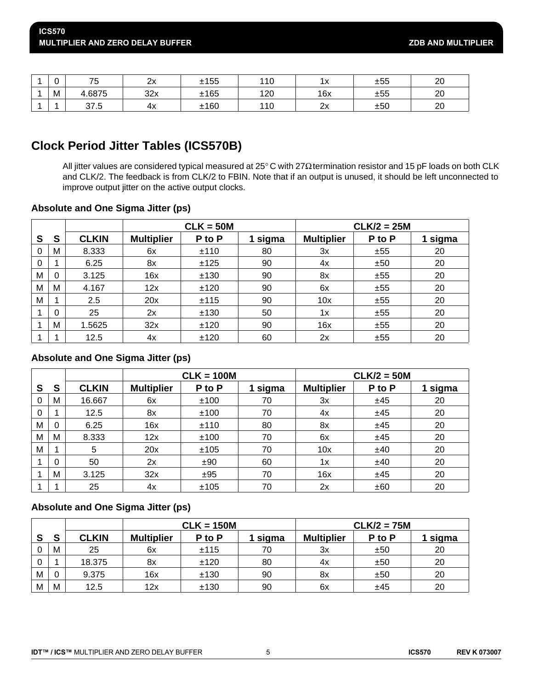| $\sim$<br>ν | <b>75</b><br>w | 2x  | ±155 | 110 | 1 v<br>$\sim$ | ±55 | 20 |
|-------------|----------------|-----|------|-----|---------------|-----|----|
| M           | 4.6875         | 32x | ±165 | 120 | 16x           | ±55 | 20 |
|             | 37.5           | 4х  | ±160 | 110 | 2x            | ±50 | 20 |

## **Clock Period Jitter Tables (ICS570B)**

All jitter values are considered typical measured at 25° C with 27Ω termination resistor and 15 pF loads on both CLK and CLK/2. The feedback is from CLK/2 to FBIN. Note that if an output is unused, it should be left unconnected to improve output jitter on the active output clocks.

#### **Absolute and One Sigma Jitter (ps)**

|   |          |              | $CLK = 50M$       |        |       | $CLK/2 = 25M$     |        |         |
|---|----------|--------------|-------------------|--------|-------|-------------------|--------|---------|
| S | S        | <b>CLKIN</b> | <b>Multiplier</b> | P to P | sigma | <b>Multiplier</b> | P to P | 1 sigma |
| 0 | M        | 8.333        | 6x                | ±110   | 80    | 3x                | ±55    | 20      |
| 0 | 1        | 6.25         | 8x                | ±125   | 90    | 4x                | ±50    | 20      |
| M | $\Omega$ | 3.125        | 16x               | ±130   | 90    | 8x                | ±55    | 20      |
| M | M        | 4.167        | 12x               | ±120   | 90    | 6x                | ±55    | 20      |
| M | 1        | 2.5          | 20x               | ±115   | 90    | 10x               | ±55    | 20      |
|   | $\Omega$ | 25           | 2x                | ±130   | 50    | 1x                | ±55    | 20      |
|   | M        | 1.5625       | 32x               | ±120   | 90    | 16x               | ±55    | 20      |
|   | ٠        | 12.5         | 4x                | ±120   | 60    | 2x                | ±55    | 20      |

#### **Absolute and One Sigma Jitter (ps)**

|   |          |              | $CLK = 100M$      |        |         | $CLK/2 = 50M$     |        |         |  |
|---|----------|--------------|-------------------|--------|---------|-------------------|--------|---------|--|
| S | S        | <b>CLKIN</b> | <b>Multiplier</b> | P to P | 1 sigma | <b>Multiplier</b> | P to P | 1 sigma |  |
| 0 | M        | 16.667       | 6x                | ±100   | 70      | 3x                | ±45    | 20      |  |
| 0 |          | 12.5         | 8x                | ±100   | 70      | 4x                | ±45    | 20      |  |
| M | $\Omega$ | 6.25         | 16x               | ±110   | 80      | 8x                | ±45    | 20      |  |
| M | M        | 8.333        | 12x               | ±100   | 70      | 6x                | ±45    | 20      |  |
| M | 1        | 5            | 20x               | ±105   | 70      | 10x               | ±40    | 20      |  |
|   | 0        | 50           | 2x                | ±90    | 60      | 1x                | ±40    | 20      |  |
|   | M        | 3.125        | 32x               | ±95    | 70      | 16x               | ±45    | 20      |  |
|   |          | 25           | 4x                | ±105   | 70      | 2x                | ±60    | 20      |  |

#### **Absolute and One Sigma Jitter (ps)**

|   |   |              | $CLK = 150M$      |        |       | $CLK/2 = 75M$     |        |       |
|---|---|--------------|-------------------|--------|-------|-------------------|--------|-------|
| S | S | <b>CLKIN</b> | <b>Multiplier</b> | P to P | sigma | <b>Multiplier</b> | P to P | sigma |
| 0 | M | 25           | 6x                | ±115   | 70    | 3x                | ±50    | 20    |
| 0 |   | 18.375       | 8x                | ±120   | 80    | 4x                | ±50    | 20    |
| M | 0 | 9.375        | 16x               | ±130   | 90    | 8x                | ±50    | 20    |
| M | M | 12.5         | 12x               | ±130   | 90    | 6x                | ±45    | 20    |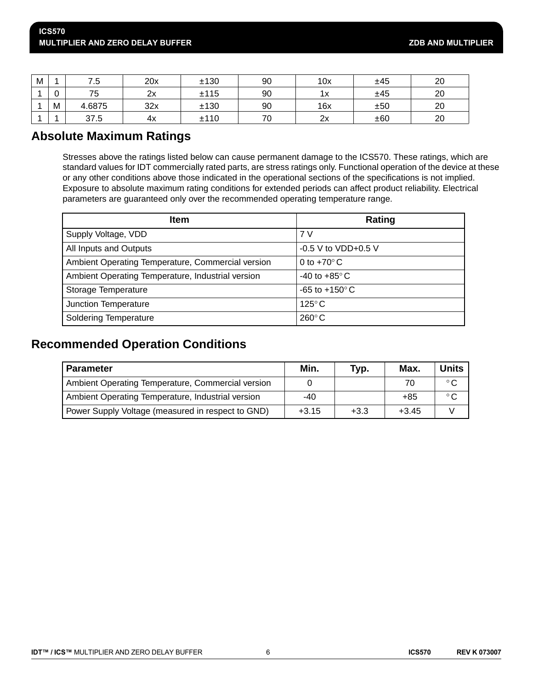| M |                 | ن. ا   | 20x | ±130 | 90 | 10x | ±45 | 20 |
|---|-----------------|--------|-----|------|----|-----|-----|----|
|   | $\sqrt{2}$<br>ν | 75     | 2x  | ±115 | 90 | 1х  | ±45 | 20 |
|   | M               | 4.6875 | 32x | ±130 | 90 | 16x | ±50 | 20 |
|   |                 | 37.5   | 4x  | ±110 | 70 | 2x  | ±60 | 20 |

## **Absolute Maximum Ratings**

Stresses above the ratings listed below can cause permanent damage to the ICS570. These ratings, which are standard values for IDT commercially rated parts, are stress ratings only. Functional operation of the device at these or any other conditions above those indicated in the operational sections of the specifications is not implied. Exposure to absolute maximum rating conditions for extended periods can affect product reliability. Electrical parameters are guaranteed only over the recommended operating temperature range.

| <b>Item</b>                                       | Rating                    |
|---------------------------------------------------|---------------------------|
| Supply Voltage, VDD                               | 7 V                       |
| All Inputs and Outputs                            | $-0.5$ V to VDD+0.5 V     |
| Ambient Operating Temperature, Commercial version | 0 to $+70^{\circ}$ C      |
| Ambient Operating Temperature, Industrial version | -40 to +85 $\degree$ C    |
| Storage Temperature                               | $-65$ to $+150^{\circ}$ C |
| Junction Temperature                              | $125^{\circ}$ C           |
| <b>Soldering Temperature</b>                      | $260^{\circ}$ C           |

## **Recommended Operation Conditions**

| <b>Parameter</b>                                  | Min.    | Typ.   | Max.    | <b>Units</b> |
|---------------------------------------------------|---------|--------|---------|--------------|
| Ambient Operating Temperature, Commercial version |         |        | 70      | $^{\circ}$ C |
| Ambient Operating Temperature, Industrial version | $-40$   |        | +85     | $^{\circ}$ C |
| Power Supply Voltage (measured in respect to GND) | $+3.15$ | $+3.3$ | $+3.45$ |              |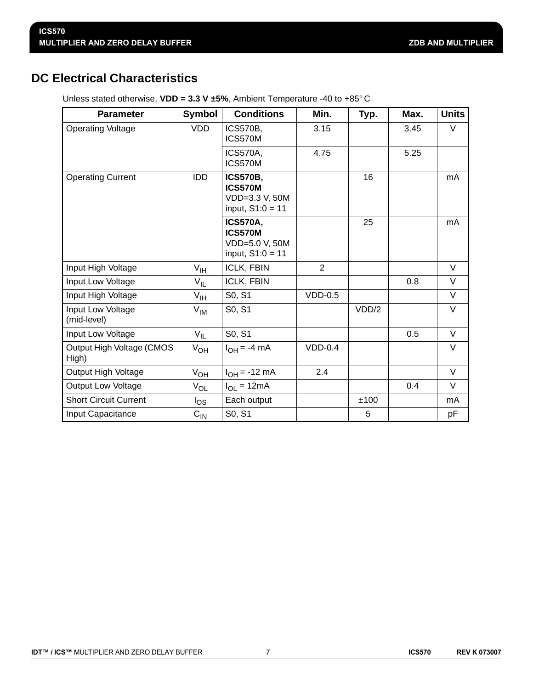## **DC Electrical Characteristics**

| <b>Parameter</b>                   | Symbol            | <b>Conditions</b>                                                         | Min.      | Typ.  | Max. | <b>Units</b> |
|------------------------------------|-------------------|---------------------------------------------------------------------------|-----------|-------|------|--------------|
| <b>Operating Voltage</b>           | <b>VDD</b>        | <b>ICS570B,</b><br>ICS570M                                                | 3.15      |       | 3.45 | V            |
|                                    |                   | <b>ICS570A,</b><br>ICS570M                                                | 4.75      |       | 5.25 |              |
| <b>Operating Current</b>           | <b>IDD</b>        | <b>ICS570B,</b><br><b>ICS570M</b><br>VDD=3.3 V, 50M<br>input, $S1:0 = 11$ |           | 16    |      | mA           |
|                                    |                   | <b>ICS570A,</b><br><b>ICS570M</b><br>VDD=5.0 V, 50M<br>input, $S1:0 = 11$ |           | 25    |      | mA           |
| Input High Voltage                 | V <sub>IH</sub>   | ICLK, FBIN                                                                | 2         |       |      | $\vee$       |
| Input Low Voltage                  | $V_{IL}$          | ICLK, FBIN                                                                |           |       | 0.8  | V            |
| Input High Voltage                 | $V_{\text{IH}}$   | S0, S1                                                                    | $VDD-0.5$ |       |      | $\vee$       |
| Input Low Voltage<br>(mid-level)   | $V_{IM}$          | S0, S1                                                                    |           | VDD/2 |      | V            |
| Input Low Voltage                  | $V_{IL}$          | S0, S1                                                                    |           |       | 0.5  | $\vee$       |
| Output High Voltage (CMOS<br>High) | $V_{OH}$          | $I_{OH} = -4$ mA                                                          | $VDD-0.4$ |       |      | V            |
| Output High Voltage                | $V_{OH}$          | $I_{OH} = -12$ mA                                                         | 2.4       |       |      | V            |
| Output Low Voltage                 | $V_{OL}$          | $I_{OL} = 12mA$                                                           |           |       | 0.4  | $\vee$       |
| <b>Short Circuit Current</b>       | $I_{OS}$          | Each output                                                               |           | ±100  |      | mA           |
| Input Capacitance                  | $C_{\mathsf{IN}}$ | S0, S1                                                                    |           | 5     |      | рF           |

Unless stated otherwise, **VDD = 3.3 V ±5%**, Ambient Temperature -40 to +85° C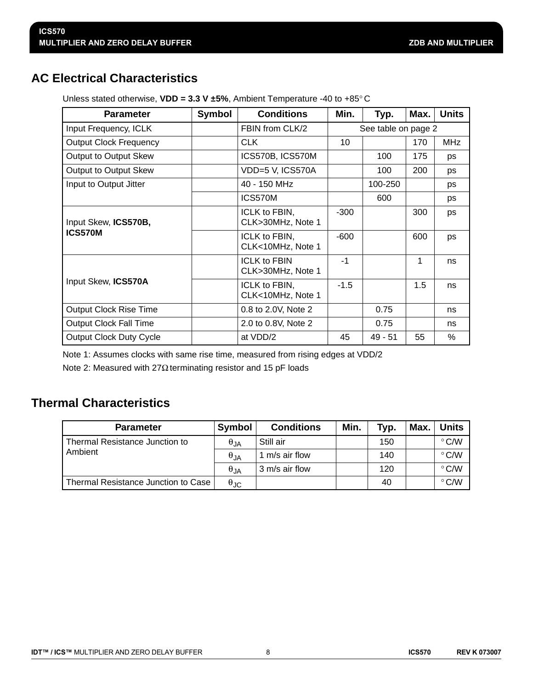## **AC Electrical Characteristics**

| <b>Parameter</b>               | <b>Symbol</b> | <b>Conditions</b>                        | Min.                | Typ.      | Max. | <b>Units</b> |
|--------------------------------|---------------|------------------------------------------|---------------------|-----------|------|--------------|
| Input Frequency, ICLK          |               | FBIN from CLK/2                          | See table on page 2 |           |      |              |
| <b>Output Clock Frequency</b>  |               | <b>CLK</b>                               | 10                  |           | 170  | <b>MHz</b>   |
| Output to Output Skew          |               | ICS570B, ICS570M                         |                     | 100       | 175  | ps           |
| Output to Output Skew          |               | VDD=5 V, ICS570A                         |                     | 100       | 200  | ps           |
| Input to Output Jitter         |               | 40 - 150 MHz                             |                     | 100-250   |      | ps           |
|                                |               | ICS570M                                  |                     | 600       |      | ps           |
| Input Skew, ICS570B,           |               | ICLK to FBIN,<br>CLK>30MHz, Note 1       | $-300$              |           | 300  | ps           |
| <b>ICS570M</b>                 |               | ICLK to FBIN,<br>CLK<10MHz, Note 1       | $-600$              |           | 600  | ps           |
|                                |               | <b>ICLK to FBIN</b><br>CLK>30MHz, Note 1 | -1                  |           | 1    | ns           |
| Input Skew, ICS570A            |               | ICLK to FBIN,<br>CLK<10MHz, Note 1       | $-1.5$              |           | 1.5  | ns           |
| <b>Output Clock Rise Time</b>  |               | 0.8 to 2.0V, Note 2                      |                     | 0.75      |      | ns           |
| <b>Output Clock Fall Time</b>  |               | 2.0 to 0.8V, Note 2                      |                     | 0.75      |      | ns           |
| <b>Output Clock Duty Cycle</b> |               | at VDD/2                                 | 45                  | $49 - 51$ | 55   | %            |

Unless stated otherwise, **VDD = 3.3 V ±5%**, Ambient Temperature -40 to +85° C

Note 1: Assumes clocks with same rise time, measured from rising edges at VDD/2

Note 2: Measured with 27Ω terminating resistor and 15 pF loads

## **Thermal Characteristics**

| <b>Parameter</b>                    | Symbol                 | <b>Conditions</b> | Min. | Typ. | Max. | <b>Units</b>  |
|-------------------------------------|------------------------|-------------------|------|------|------|---------------|
| l Thermal Resistance Junction to    | $\theta_{\mathsf{JA}}$ | Still air         |      | 150  |      | $\degree$ C/W |
| Ambient                             | $\theta_{JA}$          | 1 m/s air flow    |      | 140  |      | $\degree$ C/W |
|                                     | $\theta_{JA}$          | 3 m/s air flow    |      | 120  |      | $\degree$ C/W |
| Thermal Resistance Junction to Case | $\theta_{\text{JC}}$   |                   |      | 40   |      | $\degree$ C/W |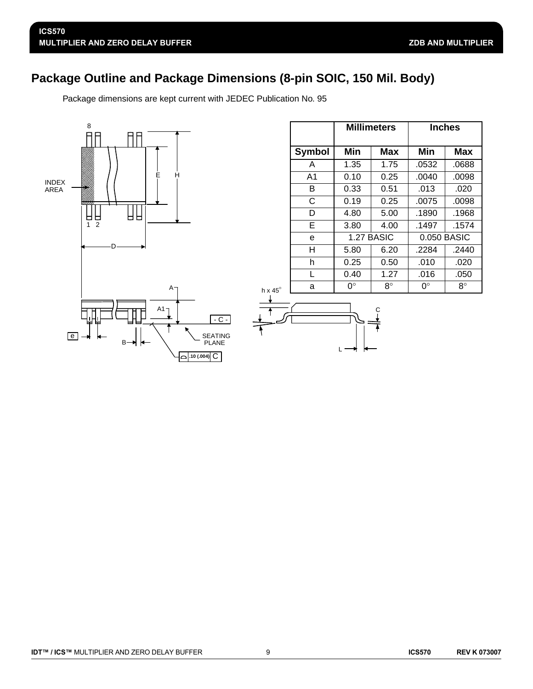## **Package Outline and Package Dimensions (8-pin SOIC, 150 Mil. Body)**

Package dimensions are kept current with JEDEC Publication No. 95



|                  |      | <b>Millimeters</b> | Inches |             |  |  |
|------------------|------|--------------------|--------|-------------|--|--|
| <b>Symbol</b>    | Min  | Max                | Min    | Max         |  |  |
| A                | 1.35 | 1.75               | .0532  | .0688       |  |  |
| A1               | 0.10 | 0.25               | .0040  | .0098       |  |  |
| B                | 0.33 | 0.51               | .013   | .020        |  |  |
| C                | 0.19 | 0.25               | .0075  | .0098       |  |  |
| D                | 4.80 | 5.00               | .1890  | .1968       |  |  |
| Е                | 3.80 | 4.00               | .1497  | .1574       |  |  |
| e                |      | 1.27 BASIC         |        | 0.050 BASIC |  |  |
| н                | 5.80 | 6.20               | .2284  | .2440       |  |  |
| h                | 0.25 | 0.50               | .010   | .020        |  |  |
| $\mathbf{I}_{-}$ | 0.40 | 1.27               | .016   | .050        |  |  |
| a                | 0°   | $8^\circ$          | 0°     | $8^\circ$   |  |  |



h x  $45^\circ$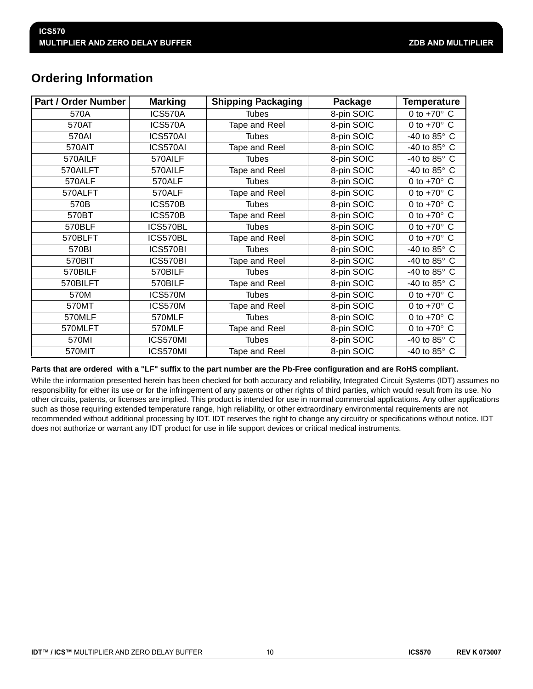## **Ordering Information**

| <b>Part / Order Number</b> | <b>Marking</b> | <b>Shipping Packaging</b> | Package    | Temperature           |
|----------------------------|----------------|---------------------------|------------|-----------------------|
| 570A                       | ICS570A        | <b>Tubes</b>              | 8-pin SOIC | 0 to $+70^\circ$ C    |
| 570AT                      | ICS570A        | Tape and Reel             | 8-pin SOIC | 0 to $+70^\circ$ C    |
| 570AI                      | ICS570AI       | <b>Tubes</b>              | 8-pin SOIC | -40 to 85° C          |
| 570AIT                     | ICS570AI       | Tape and Reel             | 8-pin SOIC | -40 to 85 $\degree$ C |
| 570AILF                    | 570AILF        | <b>Tubes</b>              | 8-pin SOIC | -40 to 85 $\degree$ C |
| 570AILFT                   | 570AILF        | Tape and Reel             | 8-pin SOIC | -40 to 85 $\degree$ C |
| 570ALF                     | 570ALF         | <b>Tubes</b>              | 8-pin SOIC | 0 to $+70^\circ$ C    |
| 570ALFT                    | 570ALF         | Tape and Reel             | 8-pin SOIC | 0 to $+70^\circ$ C    |
| 570B                       | <b>ICS570B</b> | <b>Tubes</b>              | 8-pin SOIC | 0 to $+70^\circ$ C    |
| 570BT                      | <b>ICS570B</b> | Tape and Reel             | 8-pin SOIC | 0 to $+70^\circ$ C    |
| 570BLF                     | ICS570BL       | <b>Tubes</b>              | 8-pin SOIC | 0 to $+70^\circ$ C    |
| 570BLFT                    | ICS570BL       | Tape and Reel             | 8-pin SOIC | 0 to $+70^\circ$ C    |
| 570BI                      | ICS570BI       | <b>Tubes</b>              | 8-pin SOIC | -40 to 85 $\degree$ C |
| 570BIT                     | ICS570BI       | Tape and Reel             | 8-pin SOIC | -40 to 85 $\degree$ C |
| 570BILF                    | 570BILF        | <b>Tubes</b>              | 8-pin SOIC | -40 to 85 $\degree$ C |
| 570BILFT                   | 570BILF        | Tape and Reel             | 8-pin SOIC | -40 to 85° C          |
| 570M                       | ICS570M        | <b>Tubes</b>              | 8-pin SOIC | 0 to $+70^\circ$ C    |
| 570MT                      | ICS570M        | Tape and Reel             | 8-pin SOIC | 0 to $+70^\circ$ C    |
| 570MLF                     | 570MLF         | <b>Tubes</b>              | 8-pin SOIC | 0 to $+70^\circ$ C    |
| 570MLFT                    | 570MLF         | Tape and Reel             | 8-pin SOIC | 0 to $+70^\circ$ C    |
| 570MI                      | ICS570MI       | <b>Tubes</b>              | 8-pin SOIC | -40 to 85 $\degree$ C |
| 570MIT                     | ICS570MI       | Tape and Reel             | 8-pin SOIC | -40 to 85 $\degree$ C |

#### **Parts that are ordered with a "LF" suffix to the part number are the Pb-Free configuration and are RoHS compliant.**

While the information presented herein has been checked for both accuracy and reliability, Integrated Circuit Systems (IDT) assumes no responsibility for either its use or for the infringement of any patents or other rights of third parties, which would result from its use. No other circuits, patents, or licenses are implied. This product is intended for use in normal commercial applications. Any other applications such as those requiring extended temperature range, high reliability, or other extraordinary environmental requirements are not recommended without additional processing by IDT. IDT reserves the right to change any circuitry or specifications without notice. IDT does not authorize or warrant any IDT product for use in life support devices or critical medical instruments.